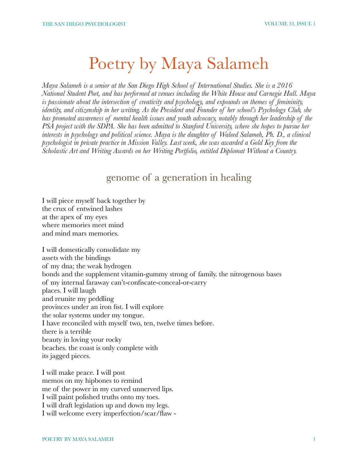# Poetry by Maya Salameh

*Maya Salameh is a senior at the San Diego High School of International Studies. She is a 2016 National Student Poet, and has performed at venues including the White House and Carnegie Hall. Maya is passionate about the intersection of creativity and psychology, and expounds on themes of femininity, identity, and citizenship in her writing. As the President and Founder of her school's Psychology Club, she has promoted awareness of mental health issues and youth advocacy, notably through her leadership of the PSA project with the SDPA. She has been admitted to Stanford University, where she hopes to pursue her interests in psychology and political science. Maya is the daughter of Waleed Salameh, Ph. D., a clinical psychologist in private practice in Mission Valley. Last week, she was awarded a Gold Key from the Scholastic Art and Writing Awards on her Writing Portfolio, entitled Diplomat Without a Country.* 

#### genome of a generation in healing

I will piece myself back together by the crux of entwined lashes at the apex of my eyes where memories meet mind and mind mars memories.

I will domestically consolidate my assets with the bindings of my dna; the weak hydrogen bonds and the supplement vitamin-gummy strong of family. the nitrogenous bases of my internal faraway can't-confiscate-conceal-or-carry places. I will laugh and reunite my peddling provinces under an iron fist. I will explore the solar systems under my tongue. I have reconciled with myself two, ten, twelve times before. there is a terrible beauty in loving your rocky beaches. the coast is only complete with its jagged pieces.

I will make peace. I will post memos on my hipbones to remind me of the power in my curved unnerved lips. I will paint polished truths onto my toes. I will draft legislation up and down my legs. I will welcome every imperfection/scar/flaw -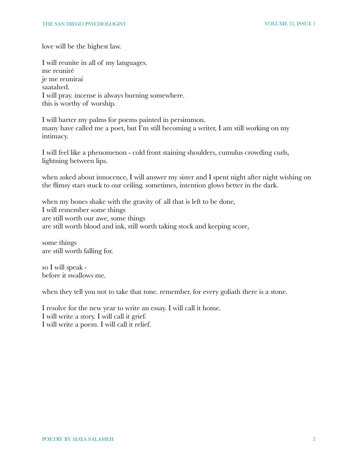love will be the highest law.

I will reunite in all of my languages. me reuniré je me reunirai saatahed. I will pray. incense is always burning somewhere. this is worthy of worship.

I will barter my palms for poems painted in persimmon. many have called me a poet, but I'm still becoming a writer, I am still working on my intimacy.

I will feel like a phenomenon - cold front staining shoulders, cumulus crowding curls, lightning between lips.

when asked about innocence, I will answer my sister and I spent night after night wishing on the flimsy stars stuck to our ceiling. sometimes, intention glows better in the dark.

when my bones shake with the gravity of all that is left to be done, I will remember some things are still worth our awe, some things are still worth blood and ink, still worth taking stock and keeping score,

some things are still worth falling for.

so I will speak before it swallows me.

when they tell you not to take that tone. remember. for every goliath there is a stone.

I resolve for the new year to write an essay. I will call it home. I will write a story. I will call it grief. I will write a poem. I will call it relief.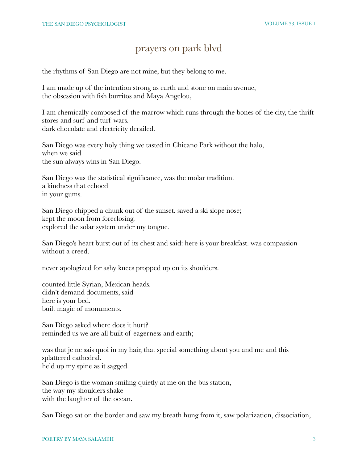### prayers on park blvd

the rhythms of San Diego are not mine, but they belong to me.

I am made up of the intention strong as earth and stone on main avenue, the obsession with fish burritos and Maya Angelou,

I am chemically composed of the marrow which runs through the bones of the city, the thrift stores and surf and turf wars. dark chocolate and electricity derailed.

San Diego was every holy thing we tasted in Chicano Park without the halo, when we said the sun always wins in San Diego.

San Diego was the statistical significance, was the molar tradition. a kindness that echoed in your gums.

San Diego chipped a chunk out of the sunset. saved a ski slope nose; kept the moon from foreclosing. explored the solar system under my tongue.

San Diego's heart burst out of its chest and said: here is your breakfast. was compassion without a creed.

never apologized for ashy knees propped up on its shoulders.

counted little Syrian, Mexican heads. didn't demand documents, said here is your bed. built magic of monuments.

San Diego asked where does it hurt? reminded us we are all built of eagerness and earth;

was that je ne sais quoi in my hair, that special something about you and me and this splattered cathedral. held up my spine as it sagged.

San Diego is the woman smiling quietly at me on the bus station, the way my shoulders shake with the laughter of the ocean.

San Diego sat on the border and saw my breath hung from it, saw polarization, dissociation,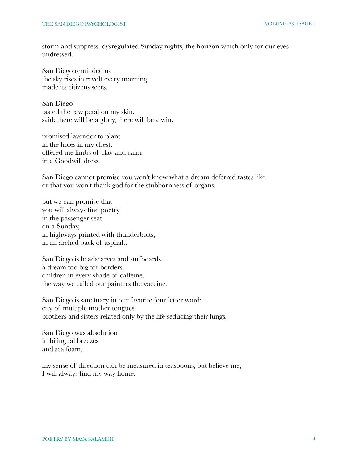storm and suppress. dysregulated Sunday nights, the horizon which only for our eyes undressed.

San Diego reminded us the sky rises in revolt every morning. made its citizens seers.

San Diego tasted the raw petal on my skin. said: there will be a glory, there will be a win.

promised lavender to plant in the holes in my chest. offered me limbs of clay and calm in a Goodwill dress.

San Diego cannot promise you won't know what a dream deferred tastes like or that you won't thank god for the stubbornness of organs.

but we can promise that you will always find poetry in the passenger seat on a Sunday, in highways printed with thunderbolts, in an arched back of asphalt.

San Diego is headscarves and surfboards. a dream too big for borders. children in every shade of caffeine. the way we called our painters the vaccine.

San Diego is sanctuary in our favorite four letter word: city of multiple mother tongues. brothers and sisters related only by the life seducing their lungs.

San Diego was absolution in bilingual breezes and sea foam.

my sense of direction can be measured in teaspoons, but believe me, I will always find my way home.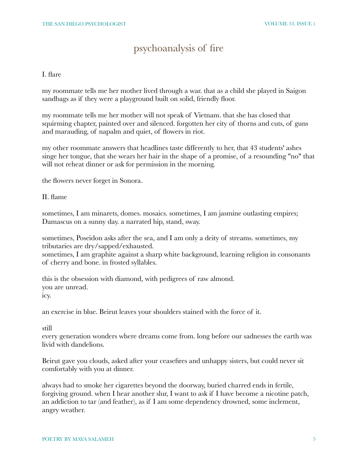## psychoanalysis of fire

I. flare

my roommate tells me her mother lived through a war. that as a child she played in Saigon sandbags as if they were a playground built on solid, friendly floor.

my roommate tells me her mother will not speak of Vietnam. that she has closed that squirming chapter, painted over and silenced. forgotten her city of thorns and cuts, of guns and marauding, of napalm and quiet, of flowers in riot.

my other roommate answers that headlines taste differently to her, that 43 students' ashes singe her tongue, that she wears her hair in the shape of a promise, of a resounding "no" that will not reheat dinner or ask for permission in the morning.

the flowers never forget in Sonora.

II. flame

sometimes, I am minarets, domes. mosaics. sometimes, I am jasmine outlasting empires; Damascus on a sunny day. a narrated hip, stand, sway.

sometimes, Poseidon asks after the sea, and I am only a deity of streams. sometimes, my tributaries are dry/sapped/exhausted.

sometimes, I am graphite against a sharp white background, learning religion in consonants of cherry and bone. in frosted syllables.

this is the obsession with diamond, with pedigrees of raw almond. you are unread. icy.

an exercise in blue. Beirut leaves your shoulders stained with the force of it.

still

every generation wonders where dreams come from. long before our sadnesses the earth was livid with dandelions.

Beirut gave you clouds, asked after your ceasefires and unhappy sisters, but could never sit comfortably with you at dinner.

always had to smoke her cigarettes beyond the doorway, buried charred ends in fertile, forgiving ground. when I hear another slur, I want to ask if I have become a nicotine patch, an addiction to tar (and feather), as if I am some dependency drowned, some inclement, angry weather.